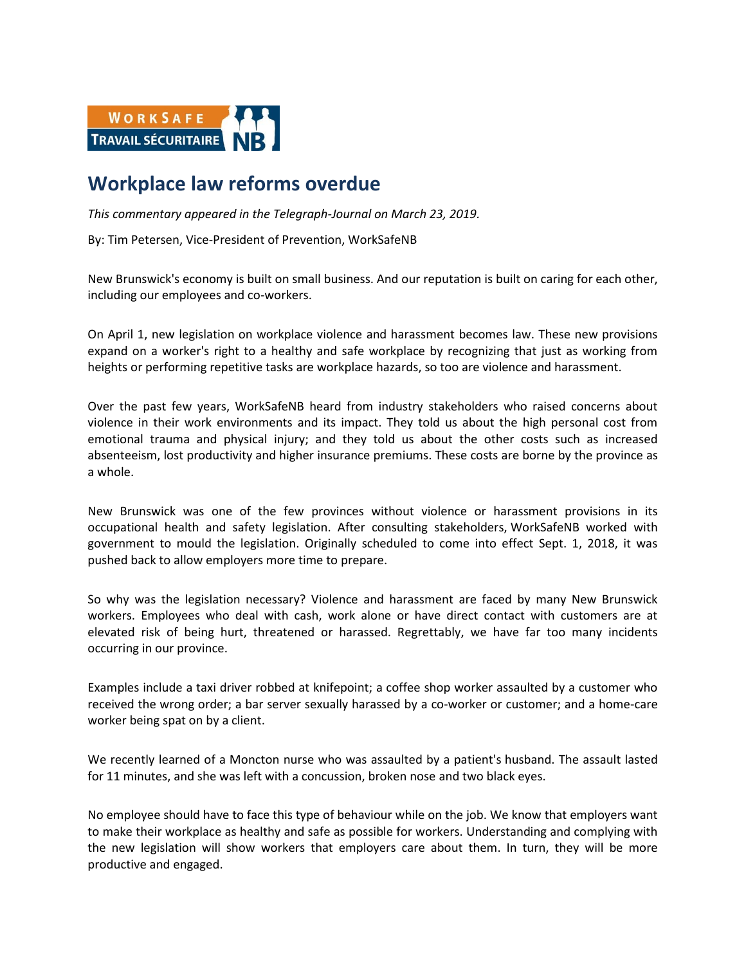

## **Workplace law reforms overdue**

*This commentary appeared in the Telegraph-Journal on March 23, 2019.*

By: Tim Petersen, Vice-President of Prevention, WorkSafeNB

New Brunswick's economy is built on small business. And our reputation is built on caring for each other, including our employees and co-workers.

On April 1, new legislation on workplace violence and harassment becomes law. These new provisions expand on a worker's right to a healthy and safe workplace by recognizing that just as working from heights or performing repetitive tasks are workplace hazards, so too are violence and harassment.

Over the past few years, WorkSafeNB heard from industry stakeholders who raised concerns about violence in their work environments and its impact. They told us about the high personal cost from emotional trauma and physical injury; and they told us about the other costs such as increased absenteeism, lost productivity and higher insurance premiums. These costs are borne by the province as a whole.

New Brunswick was one of the few provinces without violence or harassment provisions in its occupational health and safety legislation. After consulting stakeholders, WorkSafeNB worked with government to mould the legislation. Originally scheduled to come into effect Sept. 1, 2018, it was pushed back to allow employers more time to prepare.

So why was the legislation necessary? Violence and harassment are faced by many New Brunswick workers. Employees who deal with cash, work alone or have direct contact with customers are at elevated risk of being hurt, threatened or harassed. Regrettably, we have far too many incidents occurring in our province.

Examples include a taxi driver robbed at knifepoint; a coffee shop worker assaulted by a customer who received the wrong order; a bar server sexually harassed by a co-worker or customer; and a home-care worker being spat on by a client.

We recently learned of a Moncton nurse who was assaulted by a patient's husband. The assault lasted for 11 minutes, and she was left with a concussion, broken nose and two black eyes.

No employee should have to face this type of behaviour while on the job. We know that employers want to make their workplace as healthy and safe as possible for workers. Understanding and complying with the new legislation will show workers that employers care about them. In turn, they will be more productive and engaged.